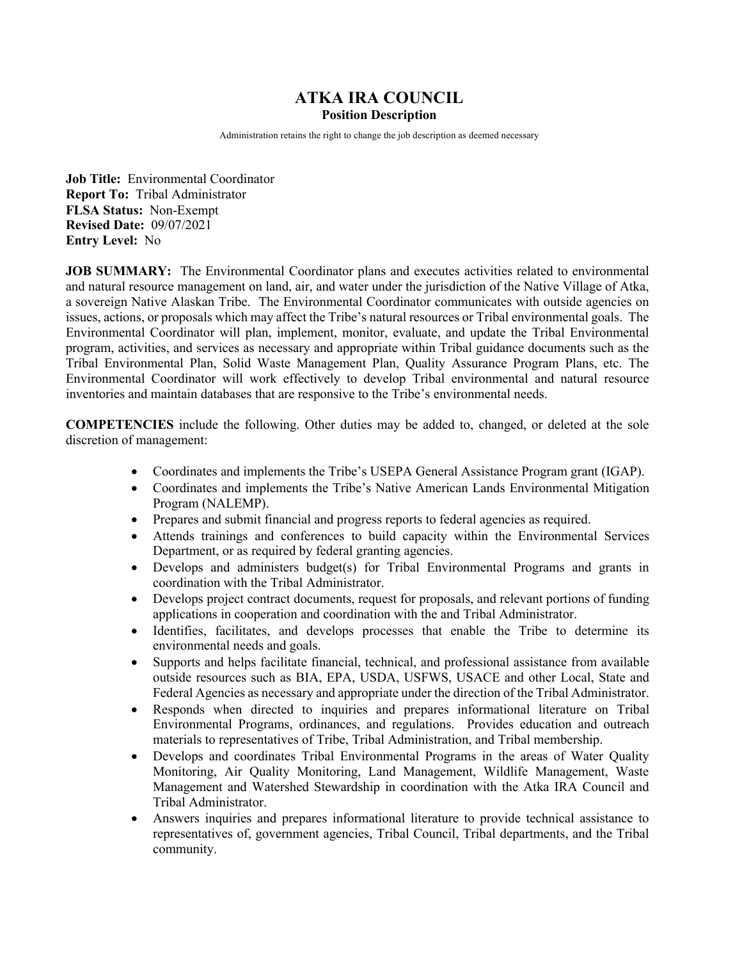# **ATKA IRA COUNCIL**

#### **Position Description**

Administration retains the right to change the job description as deemed necessary

**Job Title:** Environmental Coordinator **Report To:** Tribal Administrator **FLSA Status:** Non-Exempt **Revised Date:** 09/07/2021 **Entry Level:** No

**JOB SUMMARY:** The Environmental Coordinator plans and executes activities related to environmental and natural resource management on land, air, and water under the jurisdiction of the Native Village of Atka, a sovereign Native Alaskan Tribe. The Environmental Coordinator communicates with outside agencies on issues, actions, or proposals which may affect the Tribe's natural resources or Tribal environmental goals. The Environmental Coordinator will plan, implement, monitor, evaluate, and update the Tribal Environmental program, activities, and services as necessary and appropriate within Tribal guidance documents such as the Tribal Environmental Plan, Solid Waste Management Plan, Quality Assurance Program Plans, etc. The Environmental Coordinator will work effectively to develop Tribal environmental and natural resource inventories and maintain databases that are responsive to the Tribe's environmental needs.

**COMPETENCIES** include the following. Other duties may be added to, changed, or deleted at the sole discretion of management:

- Coordinates and implements the Tribe's USEPA General Assistance Program grant (IGAP).
- Coordinates and implements the Tribe's Native American Lands Environmental Mitigation Program (NALEMP).
- Prepares and submit financial and progress reports to federal agencies as required.
- Attends trainings and conferences to build capacity within the Environmental Services Department, or as required by federal granting agencies.
- Develops and administers budget(s) for Tribal Environmental Programs and grants in coordination with the Tribal Administrator.
- Develops project contract documents, request for proposals, and relevant portions of funding applications in cooperation and coordination with the and Tribal Administrator.
- Identifies, facilitates, and develops processes that enable the Tribe to determine its environmental needs and goals.
- Supports and helps facilitate financial, technical, and professional assistance from available outside resources such as BIA, EPA, USDA, USFWS, USACE and other Local, State and Federal Agencies as necessary and appropriate under the direction of the Tribal Administrator.
- Responds when directed to inquiries and prepares informational literature on Tribal Environmental Programs, ordinances, and regulations. Provides education and outreach materials to representatives of Tribe, Tribal Administration, and Tribal membership.
- Develops and coordinates Tribal Environmental Programs in the areas of Water Quality Monitoring, Air Quality Monitoring, Land Management, Wildlife Management, Waste Management and Watershed Stewardship in coordination with the Atka IRA Council and Tribal Administrator.
- Answers inquiries and prepares informational literature to provide technical assistance to representatives of, government agencies, Tribal Council, Tribal departments, and the Tribal community.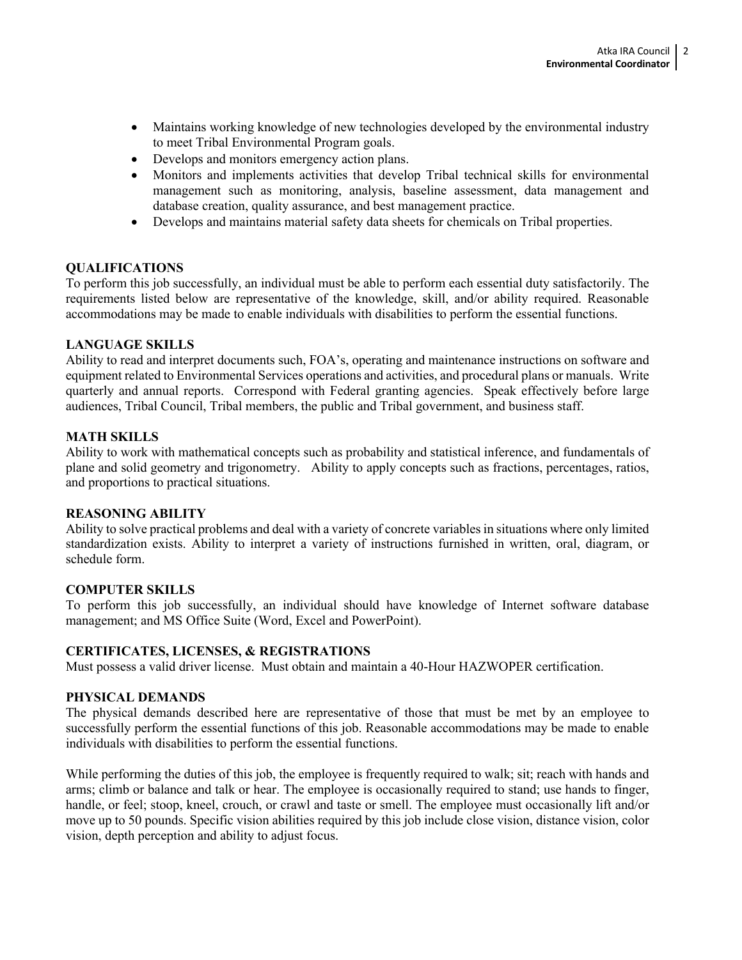- Maintains working knowledge of new technologies developed by the environmental industry to meet Tribal Environmental Program goals.
- Develops and monitors emergency action plans.
- Monitors and implements activities that develop Tribal technical skills for environmental management such as monitoring, analysis, baseline assessment, data management and database creation, quality assurance, and best management practice.
- Develops and maintains material safety data sheets for chemicals on Tribal properties.

### **QUALIFICATIONS**

To perform this job successfully, an individual must be able to perform each essential duty satisfactorily. The requirements listed below are representative of the knowledge, skill, and/or ability required. Reasonable accommodations may be made to enable individuals with disabilities to perform the essential functions.

### **LANGUAGE SKILLS**

Ability to read and interpret documents such, FOA's, operating and maintenance instructions on software and equipment related to Environmental Services operations and activities, and procedural plans or manuals. Write quarterly and annual reports. Correspond with Federal granting agencies. Speak effectively before large audiences, Tribal Council, Tribal members, the public and Tribal government, and business staff.

## **MATH SKILLS**

Ability to work with mathematical concepts such as probability and statistical inference, and fundamentals of plane and solid geometry and trigonometry. Ability to apply concepts such as fractions, percentages, ratios, and proportions to practical situations.

### **REASONING ABILITY**

Ability to solve practical problems and deal with a variety of concrete variables in situations where only limited standardization exists. Ability to interpret a variety of instructions furnished in written, oral, diagram, or schedule form.

## **COMPUTER SKILLS**

To perform this job successfully, an individual should have knowledge of Internet software database management; and MS Office Suite (Word, Excel and PowerPoint).

### **CERTIFICATES, LICENSES, & REGISTRATIONS**

Must possess a valid driver license. Must obtain and maintain a 40-Hour HAZWOPER certification.

### **PHYSICAL DEMANDS**

The physical demands described here are representative of those that must be met by an employee to successfully perform the essential functions of this job. Reasonable accommodations may be made to enable individuals with disabilities to perform the essential functions.

While performing the duties of this job, the employee is frequently required to walk; sit; reach with hands and arms; climb or balance and talk or hear. The employee is occasionally required to stand; use hands to finger, handle, or feel; stoop, kneel, crouch, or crawl and taste or smell. The employee must occasionally lift and/or move up to 50 pounds. Specific vision abilities required by this job include close vision, distance vision, color vision, depth perception and ability to adjust focus.